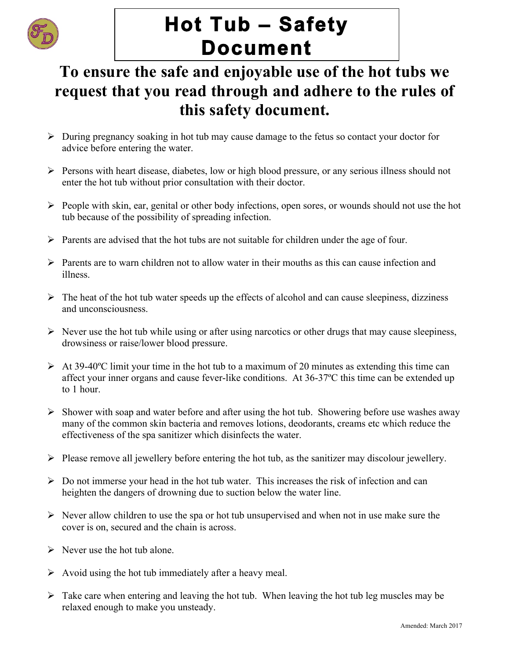

# **Hot Tub – Safety Document**

# **To ensure the safe and enjoyable use of the hot tubs we request that you read through and adhere to the rules of this safety document.**

- $\triangleright$  During pregnancy soaking in hot tub may cause damage to the fetus so contact your doctor for advice before entering the water.
- Ø Persons with heart disease, diabetes, low or high blood pressure, or any serious illness should not enter the hot tub without prior consultation with their doctor.
- $\triangleright$  People with skin, ear, genital or other body infections, open sores, or wounds should not use the hot tub because of the possibility of spreading infection.
- $\triangleright$  Parents are advised that the hot tubs are not suitable for children under the age of four.
- $\triangleright$  Parents are to warn children not to allow water in their mouths as this can cause infection and illness.
- $\triangleright$  The heat of the hot tub water speeds up the effects of alcohol and can cause sleepiness, dizziness and unconsciousness.
- $\triangleright$  Never use the hot tub while using or after using narcotics or other drugs that may cause sleepiness, drowsiness or raise/lower blood pressure.
- $\triangleright$  At 39-40 °C limit your time in the hot tub to a maximum of 20 minutes as extending this time can affect your inner organs and cause fever-like conditions. At 36-37ºC this time can be extended up to 1 hour.
- $\triangleright$  Shower with soap and water before and after using the hot tub. Showering before use washes away many of the common skin bacteria and removes lotions, deodorants, creams etc which reduce the effectiveness of the spa sanitizer which disinfects the water.
- $\triangleright$  Please remove all jewellery before entering the hot tub, as the sanitizer may discolour jewellery.
- $\triangleright$  Do not immerse your head in the hot tub water. This increases the risk of infection and can heighten the dangers of drowning due to suction below the water line.
- $\triangleright$  Never allow children to use the spa or hot tub unsupervised and when not in use make sure the cover is on, secured and the chain is across.
- $\triangleright$  Never use the hot tub alone.
- $\triangleright$  Avoid using the hot tub immediately after a heavy meal.
- $\triangleright$  Take care when entering and leaving the hot tub. When leaving the hot tub leg muscles may be relaxed enough to make you unsteady.